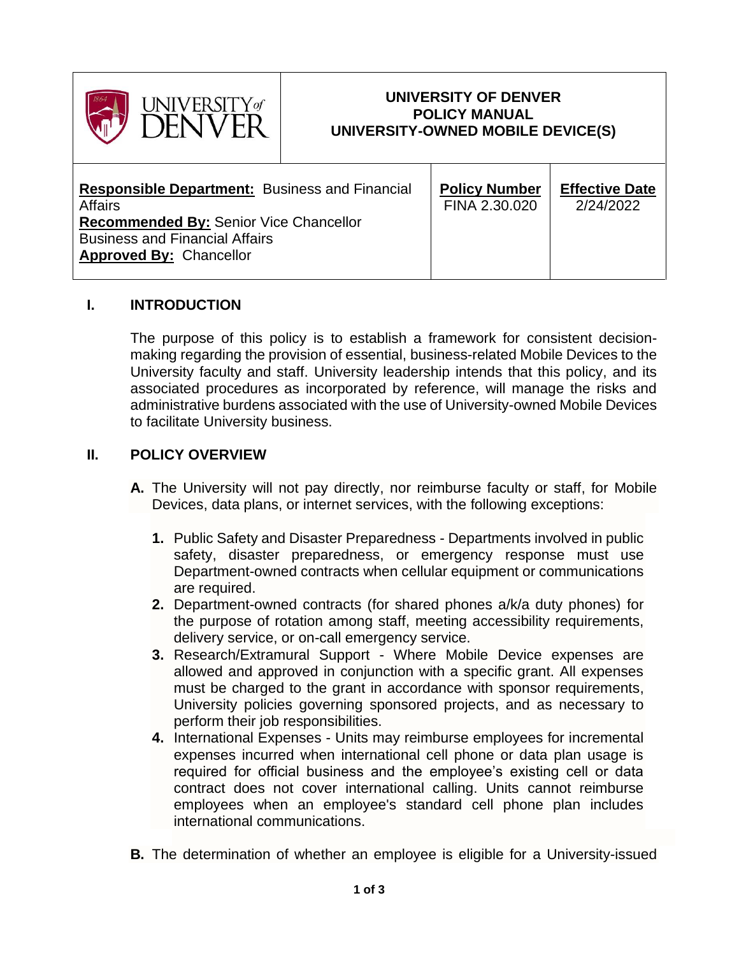

#### **UNIVERSITY OF DENVER POLICY MANUAL UNIVERSITY-OWNED MOBILE DEVICE(S)**

| <b>Responsible Department:</b> Business and Financial                                                                    | <b>Policy Number</b> | <b>Effective Date</b> |
|--------------------------------------------------------------------------------------------------------------------------|----------------------|-----------------------|
| Affairs                                                                                                                  | FINA 2.30.020        | 2/24/2022             |
| <b>Recommended By: Senior Vice Chancellor</b><br><b>Business and Financial Affairs</b><br><b>Approved By: Chancellor</b> |                      |                       |

# **I. INTRODUCTION**

The purpose of this policy is to establish a framework for consistent decisionmaking regarding the provision of essential, business-related Mobile Devices to the University faculty and staff. University leadership intends that this policy, and its associated procedures as incorporated by reference, will manage the risks and administrative burdens associated with the use of University-owned Mobile Devices to facilitate University business.

# **II. POLICY OVERVIEW**

- **A.** The University will not pay directly, nor reimburse faculty or staff, for Mobile Devices, data plans, or internet services, with the following exceptions:
	- **1.** Public Safety and Disaster Preparedness Departments involved in public safety, disaster preparedness, or emergency response must use Department-owned contracts when cellular equipment or communications are required.
	- **2.** Department-owned contracts (for shared phones a/k/a duty phones) for the purpose of rotation among staff, meeting accessibility requirements, delivery service, or on-call emergency service.
	- **3.** Research/Extramural Support Where Mobile Device expenses are allowed and approved in conjunction with a specific grant. All expenses must be charged to the grant in accordance with sponsor requirements, University policies governing sponsored projects, and as necessary to perform their job responsibilities.
	- **4.** International Expenses Units may reimburse employees for incremental expenses incurred when international cell phone or data plan usage is required for official business and the employee's existing cell or data contract does not cover international calling. Units cannot reimburse employees when an employee's standard cell phone plan includes international communications.
- **B.** The determination of whether an employee is eligible for a University-issued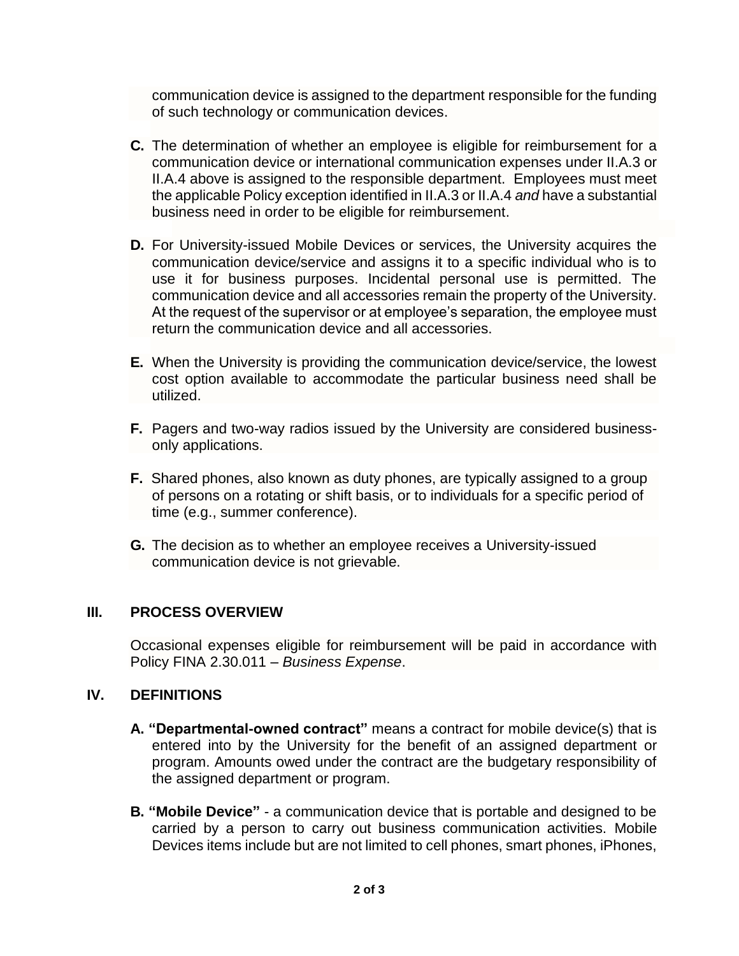communication device is assigned to the department responsible for the funding of such technology or communication devices.

- **C.** The determination of whether an employee is eligible for reimbursement for a communication device or international communication expenses under II.A.3 or II.A.4 above is assigned to the responsible department. Employees must meet the applicable Policy exception identified in II.A.3 or II.A.4 *and* have a substantial business need in order to be eligible for reimbursement.
- **D.** For University-issued Mobile Devices or services, the University acquires the communication device/service and assigns it to a specific individual who is to use it for business purposes. Incidental personal use is permitted. The communication device and all accessories remain the property of the University. At the request of the supervisor or at employee's separation, the employee must return the communication device and all accessories.
- **E.** When the University is providing the communication device/service, the lowest cost option available to accommodate the particular business need shall be utilized.
- **F.** Pagers and two-way radios issued by the University are considered businessonly applications.
- **F.** Shared phones, also known as duty phones, are typically assigned to a group of persons on a rotating or shift basis, or to individuals for a specific period of time (e.g., summer conference).
- **G.** The decision as to whether an employee receives a University-issued communication device is not grievable.

### **III. PROCESS OVERVIEW**

Occasional expenses eligible for reimbursement will be paid in accordance with Policy FINA 2.30.011 – *Business Expense*.

#### **IV. DEFINITIONS**

- **A. "Departmental-owned contract"** means a contract for mobile device(s) that is entered into by the University for the benefit of an assigned department or program. Amounts owed under the contract are the budgetary responsibility of the assigned department or program.
- **B. "Mobile Device"** a communication device that is portable and designed to be carried by a person to carry out business communication activities. Mobile Devices items include but are not limited to cell phones, smart phones, iPhones,